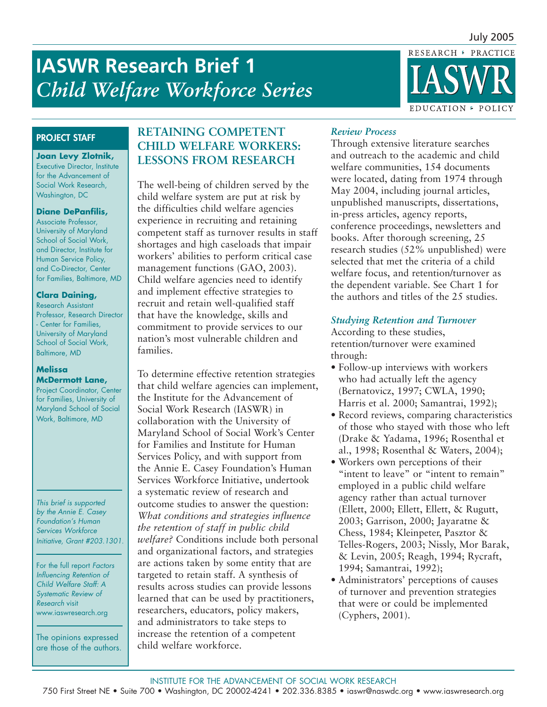RESEARCH · PRACTICE

# **ASWR Research Brief 1** *Child Welfare Workforce Series*



## **PROJECT STAFF**

**Joan Levy Zlotnik,** Executive Director, Institute for the Advancement of Social Work Research, Washington, DC

#### **Diane DePanfilis,**

Associate Professor, University of Maryland School of Social Work, and Director, Institute for Human Service Policy, and Co-Director, Center for Families, Baltimore, MD

#### **Clara Daining,**

Research Assistant Professor, Research Director - Center for Families, University of Maryland School of Social Work, Baltimore, MD

#### **Melissa McDermott Lane,**

Project Coordinator, Center for Families, University of Maryland School of Social Work, Baltimore, MD

*This brief is supported by the Annie E. Casey Foundation's Human Services Workforce Initiative, Grant #203.1301.*

For the full report *Factors Influencing Retention of Child Welfare Staff: A Systematic Review of Research* visit www.iaswresearch.org

The opinions expressed are those of the authors.

# **RETAINING COMPETENT CHILD WELFARE WORKERS: LESSONS FROM RESEARCH**

The well-being of children served by the child welfare system are put at risk by the difficulties child welfare agencies experience in recruiting and retaining competent staff as turnover results in staff shortages and high caseloads that impair workers' abilities to perform critical case management functions (GAO, 2003). Child welfare agencies need to identify and implement effective strategies to recruit and retain well-qualified staff that have the knowledge, skills and commitment to provide services to our nation's most vulnerable children and families.

To determine effective retention strategies that child welfare agencies can implement, the Institute for the Advancement of Social Work Research (IASWR) in collaboration with the University of Maryland School of Social Work's Center for Families and Institute for Human Services Policy, and with support from the Annie E. Casey Foundation's Human Services Workforce Initiative, undertook a systematic review of research and outcome studies to answer the question: *What conditions and strategies influence the retention of staff in public child welfare?* Conditions include both personal and organizational factors, and strategies are actions taken by some entity that are targeted to retain staff. A synthesis of results across studies can provide lessons learned that can be used by practitioners, researchers, educators, policy makers, and administrators to take steps to increase the retention of a competent child welfare workforce.

## *Review Process*

Through extensive literature searches and outreach to the academic and child welfare communities, 154 documents were located, dating from 1974 through May 2004, including journal articles, unpublished manuscripts, dissertations, in-press articles, agency reports, conference proceedings, newsletters and books. After thorough screening, 25 research studies (52% unpublished) were selected that met the criteria of a child welfare focus, and retention/turnover as the dependent variable. See Chart 1 for the authors and titles of the 25 studies.

## *Studying Retention and Turnover*

According to these studies, retention/turnover were examined through:

- Follow-up interviews with workers who had actually left the agency (Bernatovicz, 1997; CWLA, 1990; Harris et al. 2000; Samantrai, 1992);
- Record reviews, comparing characteristics of those who stayed with those who left (Drake & Yadama, 1996; Rosenthal et al., 1998; Rosenthal & Waters, 2004);
- Workers own perceptions of their "intent to leave" or "intent to remain" employed in a public child welfare agency rather than actual turnover (Ellett, 2000; Ellett, Ellett, & Rugutt, 2003; Garrison, 2000; Jayaratne & Chess, 1984; Kleinpeter, Pasztor & Telles-Rogers, 2003; Nissly, Mor Barak, & Levin, 2005; Reagh, 1994; Rycraft, 1994; Samantrai, 1992);
- Administrators' perceptions of causes of turnover and prevention strategies that were or could be implemented (Cyphers, 2001).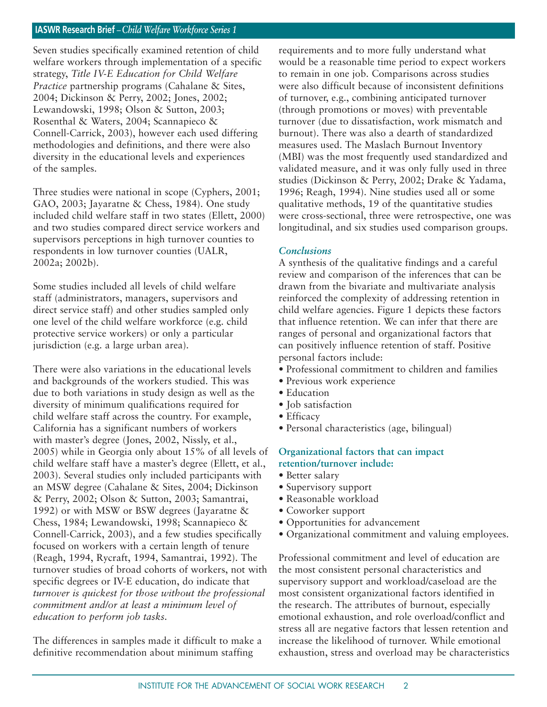Seven studies specifically examined retention of child welfare workers through implementation of a specific strategy, *Title IV-E Education for Child Welfare Practice* partnership programs (Cahalane & Sites, 2004; Dickinson & Perry, 2002; Jones, 2002; Lewandowski, 1998; Olson & Sutton, 2003; Rosenthal & Waters, 2004; Scannapieco & Connell-Carrick, 2003), however each used differing methodologies and definitions, and there were also diversity in the educational levels and experiences of the samples.

Three studies were national in scope (Cyphers, 2001; GAO, 2003; Jayaratne & Chess, 1984). One study included child welfare staff in two states (Ellett, 2000) and two studies compared direct service workers and supervisors perceptions in high turnover counties to respondents in low turnover counties (UALR, 2002a; 2002b).

Some studies included all levels of child welfare staff (administrators, managers, supervisors and direct service staff) and other studies sampled only one level of the child welfare workforce (e.g. child protective service workers) or only a particular jurisdiction (e.g. a large urban area).

There were also variations in the educational levels and backgrounds of the workers studied. This was due to both variations in study design as well as the diversity of minimum qualifications required for child welfare staff across the country. For example, California has a significant numbers of workers with master's degree (Jones, 2002, Nissly, et al., 2005) while in Georgia only about 15% of all levels of child welfare staff have a master's degree (Ellett, et al., 2003). Several studies only included participants with an MSW degree (Cahalane & Sites, 2004; Dickinson & Perry, 2002; Olson & Sutton, 2003; Samantrai, 1992) or with MSW or BSW degrees (Jayaratne & Chess, 1984; Lewandowski, 1998; Scannapieco & Connell-Carrick, 2003), and a few studies specifically focused on workers with a certain length of tenure (Reagh, 1994, Rycraft, 1994, Samantrai, 1992). The turnover studies of broad cohorts of workers, not with specific degrees or IV-E education, do indicate that *turnover is quickest for those without the professional commitment and/or at least a minimum level of education to perform job tasks.*

The differences in samples made it difficult to make a definitive recommendation about minimum staffing

requirements and to more fully understand what would be a reasonable time period to expect workers to remain in one job. Comparisons across studies were also difficult because of inconsistent definitions of turnover, e.g., combining anticipated turnover (through promotions or moves) with preventable turnover (due to dissatisfaction, work mismatch and burnout). There was also a dearth of standardized measures used. The Maslach Burnout Inventory (MBI) was the most frequently used standardized and validated measure, and it was only fully used in three studies (Dickinson & Perry, 2002; Drake & Yadama, 1996; Reagh, 1994). Nine studies used all or some qualitative methods, 19 of the quantitative studies were cross-sectional, three were retrospective, one was longitudinal, and six studies used comparison groups.

#### *Conclusions*

A synthesis of the qualitative findings and a careful review and comparison of the inferences that can be drawn from the bivariate and multivariate analysis reinforced the complexity of addressing retention in child welfare agencies. Figure 1 depicts these factors that influence retention. We can infer that there are ranges of personal and organizational factors that can positively influence retention of staff. Positive personal factors include:

- Professional commitment to children and families
- Previous work experience
- Education
- Iob satisfaction
- Efficacy
- Personal characteristics (age, bilingual)

#### **Organizational factors that can impact retention/turnover include:**

- Better salary
- Supervisory support
- Reasonable workload
- Coworker support
- Opportunities for advancement
- Organizational commitment and valuing employees.

Professional commitment and level of education are the most consistent personal characteristics and supervisory support and workload/caseload are the most consistent organizational factors identified in the research. The attributes of burnout, especially emotional exhaustion, and role overload/conflict and stress all are negative factors that lessen retention and increase the likelihood of turnover. While emotional exhaustion, stress and overload may be characteristics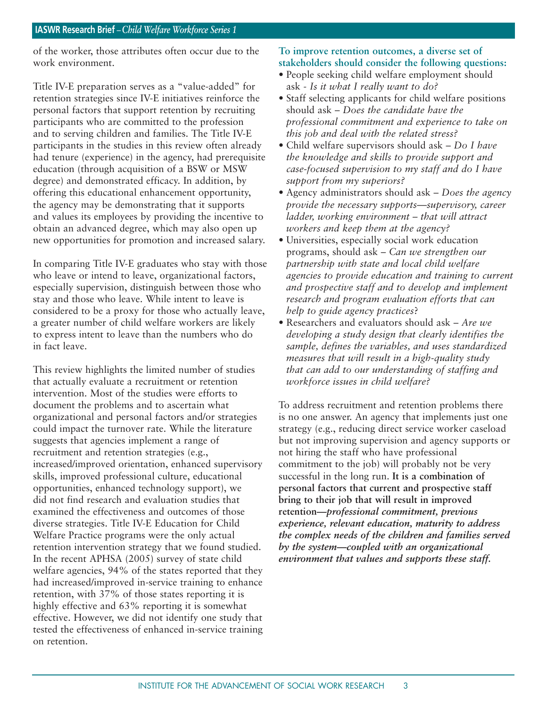of the worker, those attributes often occur due to the work environment.

Title IV-E preparation serves as a "value-added" for retention strategies since IV-E initiatives reinforce the personal factors that support retention by recruiting participants who are committed to the profession and to serving children and families. The Title IV-E participants in the studies in this review often already had tenure (experience) in the agency, had prerequisite education (through acquisition of a BSW or MSW degree) and demonstrated efficacy. In addition, by offering this educational enhancement opportunity, the agency may be demonstrating that it supports and values its employees by providing the incentive to obtain an advanced degree, which may also open up new opportunities for promotion and increased salary.

In comparing Title IV-E graduates who stay with those who leave or intend to leave, organizational factors, especially supervision, distinguish between those who stay and those who leave. While intent to leave is considered to be a proxy for those who actually leave, a greater number of child welfare workers are likely to express intent to leave than the numbers who do in fact leave.

This review highlights the limited number of studies that actually evaluate a recruitment or retention intervention. Most of the studies were efforts to document the problems and to ascertain what organizational and personal factors and/or strategies could impact the turnover rate. While the literature suggests that agencies implement a range of recruitment and retention strategies (e.g., increased/improved orientation, enhanced supervisory skills, improved professional culture, educational opportunities, enhanced technology support), we did not find research and evaluation studies that examined the effectiveness and outcomes of those diverse strategies. Title IV-E Education for Child Welfare Practice programs were the only actual retention intervention strategy that we found studied. In the recent APHSA (2005) survey of state child welfare agencies, 94% of the states reported that they had increased/improved in-service training to enhance retention, with 37% of those states reporting it is highly effective and 63% reporting it is somewhat effective. However, we did not identify one study that tested the effectiveness of enhanced in-service training on retention.

## **To improve retention outcomes, a diverse set of stakeholders should consider the following questions:**

- People seeking child welfare employment should ask - *Is it what I really want to do?*
- Staff selecting applicants for child welfare positions should ask – *Does the candidate have the professional commitment and experience to take on this job and deal with the related stress?*
- Child welfare supervisors should ask *Do I have the knowledge and skills to provide support and case-focused supervision to my staff and do I have support from my superiors?*
- Agency administrators should ask *Does the agency provide the necessary supports—supervisory, career ladder, working environment – that will attract workers and keep them at the agency?*
- Universities, especially social work education programs, should ask – *Can we strengthen our partnership with state and local child welfare agencies to provide education and training to current and prospective staff and to develop and implement research and program evaluation efforts that can help to guide agency practices*?
- Researchers and evaluators should ask *Are we developing a study design that clearly identifies the sample, defines the variables, and uses standardized measures that will result in a high-quality study that can add to our understanding of staffing and workforce issues in child welfare?*

To address recruitment and retention problems there is no one answer. An agency that implements just one strategy (e.g., reducing direct service worker caseload but not improving supervision and agency supports or not hiring the staff who have professional commitment to the job) will probably not be very successful in the long run. **It is a combination of personal factors that current and prospective staff bring to their job that will result in improved retention—***professional commitment, previous experience, relevant education, maturity to address the complex needs of the children and families served by the system—coupled with an organizational environment that values and supports these staff.*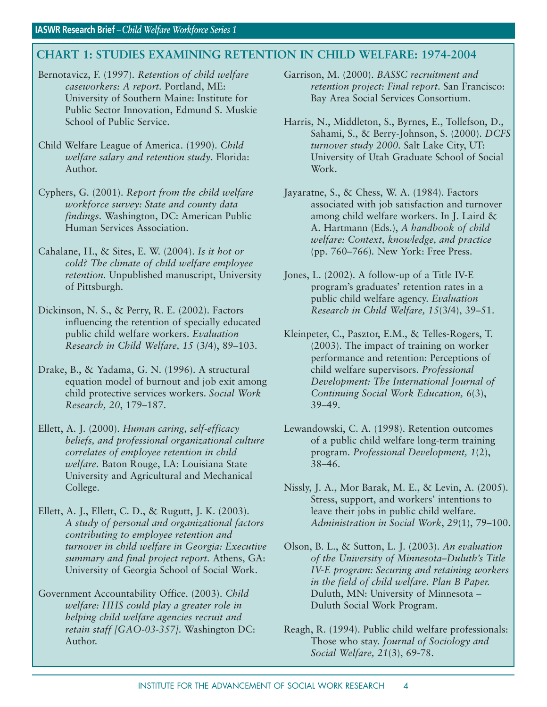# **CHART 1: STUDIES EXAMINING RETENTION IN CHILD WELFARE: 1974-2004**

- Bernotavicz, F. (1997). *Retention of child welfare caseworkers: A report.* Portland, ME: University of Southern Maine: Institute for Public Sector Innovation, Edmund S. Muskie School of Public Service.
- Child Welfare League of America. (1990). *Child welfare salary and retention study*. Florida: Author.
- Cyphers, G. (2001). *Report from the child welfare workforce survey: State and county data findings.* Washington, DC: American Public Human Services Association.
- Cahalane, H., & Sites, E. W. (2004). *Is it hot or cold? The climate of child welfare employee retention.* Unpublished manuscript, University of Pittsburgh.
- Dickinson, N. S., & Perry, R. E. (2002). Factors influencing the retention of specially educated public child welfare workers. *Evaluation Research in Child Welfare, 15* (3/4), 89–103.
- Drake, B., & Yadama, G. N. (1996). A structural equation model of burnout and job exit among child protective services workers. *Social Work Research, 20*, 179–187.
- Ellett, A. J. (2000). *Human caring, self-efficacy beliefs, and professional organizational culture correlates of employee retention in child welfare.* Baton Rouge, LA: Louisiana State University and Agricultural and Mechanical College.
- Ellett, A. J., Ellett, C. D., & Rugutt, J. K. (2003). *A study of personal and organizational factors contributing to employee retention and turnover in child welfare in Georgia: Executive summary and final project report.* Athens, GA: University of Georgia School of Social Work.
- Government Accountability Office. (2003). *Child welfare: HHS could play a greater role in helping child welfare agencies recruit and retain staff [GAO-03-357].* Washington DC: Author.

Garrison, M. (2000). *BASSC recruitment and retention project: Final report*. San Francisco: Bay Area Social Services Consortium.

- Harris, N., Middleton, S., Byrnes, E., Tollefson, D., Sahami, S., & Berry-Johnson, S. (2000). *DCFS turnover study 2000.* Salt Lake City, UT: University of Utah Graduate School of Social Work.
- Jayaratne, S., & Chess, W. A. (1984). Factors associated with job satisfaction and turnover among child welfare workers. In J. Laird & A. Hartmann (Eds.), *A handbook of child welfare: Context, knowledge, and practice*  (pp. 760–766)*.* New York: Free Press.
- Jones, L. (2002). A follow-up of a Title IV-E program's graduates' retention rates in a public child welfare agency. *Evaluation Research in Child Welfare, 15*(3/4), 39–51.
- Kleinpeter, C., Pasztor, E.M., & Telles-Rogers, T. (2003). The impact of training on worker performance and retention: Perceptions of child welfare supervisors. *Professional Development: The International Journal of Continuing Social Work Education, 6*(3), 39–49.
- Lewandowski, C. A. (1998). Retention outcomes of a public child welfare long-term training program. *Professional Development, 1*(2), 38–46.
- Nissly, J. A., Mor Barak, M. E., & Levin, A. (2005). Stress, support, and workers' intentions to leave their jobs in public child welfare. *Administration in Social Work*, *29*(1), 79–100.
- Olson, B. L., & Sutton, L. J. (2003). *An evaluation of the University of Minnesota–Duluth's Title IV-E program: Securing and retaining workers in the field of child welfare. Plan B Paper.* Duluth, MN: University of Minnesota – Duluth Social Work Program.
- Reagh, R. (1994). Public child welfare professionals: Those who stay. *Journal of Sociology and Social Welfare, 21*(3), 69-78.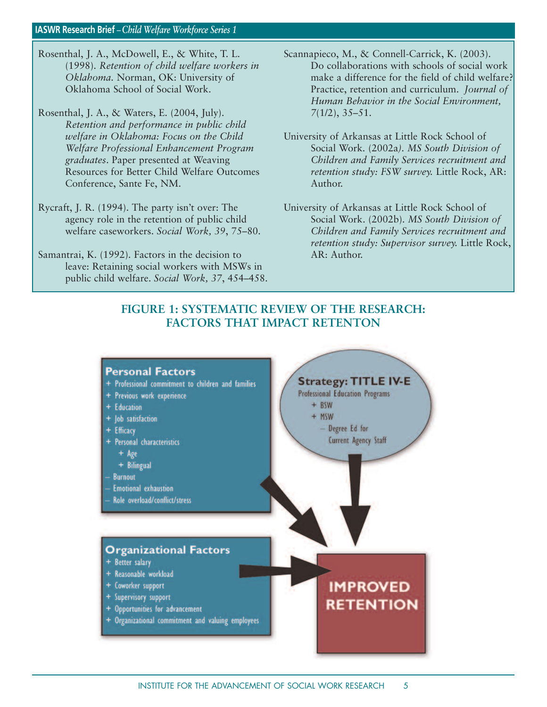- Rosenthal, J. A., McDowell, E., & White, T. L. (1998). *Retention of child welfare workers in Oklahoma.* Norman, OK: University of Oklahoma School of Social Work.
- Rosenthal, J. A., & Waters, E. (2004, July). *Retention and performance in public child welfare in Oklahoma: Focus on the Child Welfare Professional Enhancement Program graduates*. Paper presented at Weaving Resources for Better Child Welfare Outcomes Conference, Sante Fe, NM.
- Rycraft, J. R. (1994). The party isn't over: The agency role in the retention of public child welfare caseworkers. *Social Work, 39*, 75–80.
- Samantrai, K. (1992). Factors in the decision to leave: Retaining social workers with MSWs in public child welfare. *Social Work, 37*, 454–458.
- Scannapieco, M., & Connell-Carrick, K. (2003). Do collaborations with schools of social work make a difference for the field of child welfare? Practice, retention and curriculum. *Journal of Human Behavior in the Social Environment, 7*(1/2), 35–51.
- University of Arkansas at Little Rock School of Social Work*.* (2002a*). MS South Division of Children and Family Services recruitment and retention study: FSW survey.* Little Rock, AR: Author.
- University of Arkansas at Little Rock School of Social Work. (2002b). *MS South Division of Children and Family Services recruitment and retention study: Supervisor survey.* Little Rock, AR: Author.

# **FIGURE 1: SYSTEMATIC REVIEW OF THE RESEARCH: FACTORS THAT IMPACT RETENTON**